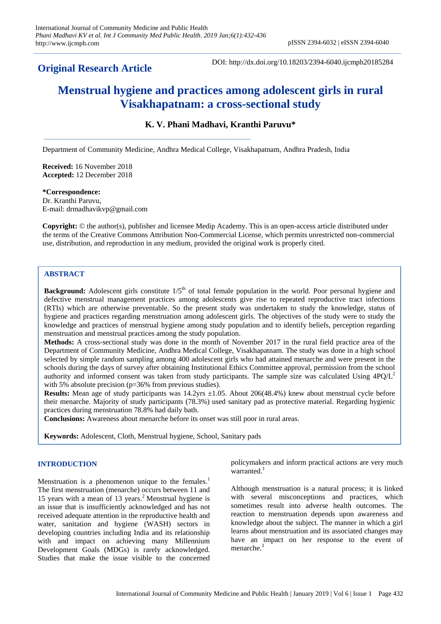## **Original Research Article**

DOI: http://dx.doi.org/10.18203/2394-6040.ijcmph20185284

# **Menstrual hygiene and practices among adolescent girls in rural Visakhapatnam: a cross-sectional study**

## **K. V. Phani Madhavi, Kranthi Paruvu\***

Department of Community Medicine, Andhra Medical College, Visakhapatnam, Andhra Pradesh, India

**Received:** 16 November 2018 **Accepted:** 12 December 2018

#### **\*Correspondence:**

Dr. Kranthi Paruvu, E-mail: drmadhavikvp@gmail.com

**Copyright:** © the author(s), publisher and licensee Medip Academy. This is an open-access article distributed under the terms of the Creative Commons Attribution Non-Commercial License, which permits unrestricted non-commercial use, distribution, and reproduction in any medium, provided the original work is properly cited.

## **ABSTRACT**

**Background:** Adolescent girls constitute 1/5<sup>th</sup> of total female population in the world. Poor personal hygiene and defective menstrual management practices among adolescents give rise to repeated reproductive tract infections (RTIs) which are otherwise preventable. So the present study was undertaken to study the knowledge, status of hygiene and practices regarding menstruation among adolescent girls. The objectives of the study were to study the knowledge and practices of menstrual hygiene among study population and to identify beliefs, perception regarding menstruation and menstrual practices among the study population.

**Methods:** A cross-sectional study was done in the month of November 2017 in the rural field practice area of the Department of Community Medicine, Andhra Medical College, Visakhapatnam. The study was done in a high school selected by simple random sampling among 400 adolescent girls who had attained menarche and were present in the schools during the days of survey after obtaining Institutional Ethics Committee approval, permission from the school authority and informed consent was taken from study participants. The sample size was calculated Using  $4PQ/L^2$ with 5% absolute precision (p=36% from previous studies).

**Results:** Mean age of study participants was 14.2yrs  $\pm 1.05$ . About 206(48.4%) knew about menstrual cycle before their menarche. Majority of study participants (78.3%) used sanitary pad as protective material. Regarding hygienic practices during menstruation 78.8% had daily bath.

**Conclusions:** Awareness about menarche before its onset was still poor in rural areas.

**Keywords:** Adolescent, Cloth, Menstrual hygiene, School, Sanitary pads

#### **INTRODUCTION**

Menstruation is a phenomenon unique to the females.<sup>1</sup> The first menstruation (menarche) occurs between 11 and 15 years with a mean of 13 years. <sup>2</sup> Menstrual hygiene is an issue that is insufficiently acknowledged and has not received adequate attention in the reproductive health and water, sanitation and hygiene (WASH) sectors in developing countries including India and its relationship with and impact on achieving many Millennium Development Goals (MDGs) is rarely acknowledged. Studies that make the issue visible to the concerned

policymakers and inform practical actions are very much warranted. $1$ 

Although menstruation is a natural process; it is linked with several misconceptions and practices, which sometimes result into adverse health outcomes. The reaction to menstruation depends upon awareness and knowledge about the subject. The manner in which a girl learns about menstruation and its associated changes may have an impact on her response to the event of menarche. 3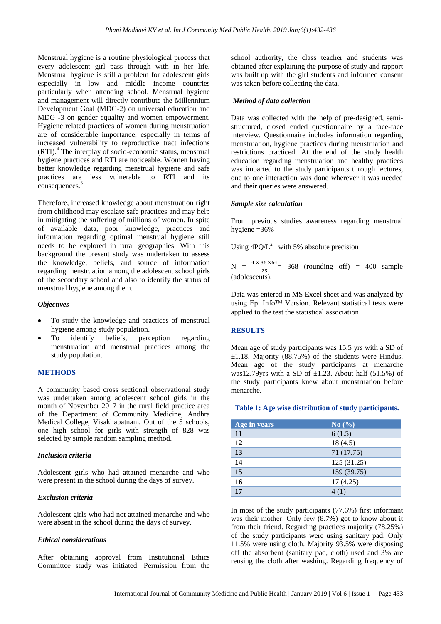Menstrual hygiene is a routine physiological process that every adolescent girl pass through with in her life. Menstrual hygiene is still a problem for adolescent girls especially in low and middle income countries particularly when attending school. Menstrual hygiene and management will directly contribute the Millennium Development Goal (MDG-2) on universal education and MDG -3 on gender equality and women empowerment. Hygiene related practices of women during menstruation are of considerable importance, especially in terms of increased vulnerability to reproductive tract infections (RTI).<sup>4</sup> The interplay of socio-economic status, menstrual hygiene practices and RTI are noticeable. Women having better knowledge regarding menstrual hygiene and safe practices are less vulnerable to RTI and its consequences.<sup>5</sup>

Therefore, increased knowledge about menstruation right from childhood may escalate safe practices and may help in mitigating the suffering of millions of women. In spite of available data, poor knowledge, practices and information regarding optimal menstrual hygiene still needs to be explored in rural geographies. With this background the present study was undertaken to assess the knowledge, beliefs, and source of information regarding menstruation among the adolescent school girls of the secondary school and also to identify the status of menstrual hygiene among them.

#### *Objectives*

- To study the knowledge and practices of menstrual hygiene among study population.
- To identify beliefs, perception regarding menstruation and menstrual practices among the study population.

#### **METHODS**

A community based cross sectional observational study was undertaken among adolescent school girls in the month of November 2017 in the rural field practice area of the Department of Community Medicine, Andhra Medical College, Visakhapatnam. Out of the 5 schools, one high school for girls with strength of 828 was selected by simple random sampling method.

#### *Inclusion criteria*

Adolescent girls who had attained menarche and who were present in the school during the days of survey.

#### *Exclusion criteria*

Adolescent girls who had not attained menarche and who were absent in the school during the days of survey.

#### *Ethical considerations*

After obtaining approval from Institutional Ethics Committee study was initiated. Permission from the school authority, the class teacher and students was obtained after explaining the purpose of study and rapport was built up with the girl students and informed consent was taken before collecting the data.

#### *Method of data collection*

Data was collected with the help of pre-designed, semistructured, closed ended questionnaire by a face-face interview. Questionnaire includes information regarding menstruation, hygiene practices during menstruation and restrictions practiced. At the end of the study health education regarding menstruation and healthy practices was imparted to the study participants through lectures, one to one interaction was done wherever it was needed and their queries were answered.

#### *Sample size calculation*

From previous studies awareness regarding menstrual hygiene =36%

Using  $4PQ/L^2$  with 5% absolute precision

 $N = \frac{4 \times 36 \times 64}{25}$  368 (rounding off) = 400 sample (adolescents).

Data was entered in MS Excel sheet and was analyzed by using Epi Info™ Version. Relevant statistical tests were applied to the test the statistical association.

#### **RESULTS**

Mean age of study participants was 15.5 yrs with a SD of ±1.18. Majority (88.75%) of the students were Hindus. Mean age of the study participants at menarche was12.79yrs with a SD of  $\pm$ 1.23. About half (51.5%) of the study participants knew about menstruation before menarche.

#### **Table 1: Age wise distribution of study participants.**

| Age in years | $\overline{\text{No}(\%)}$ |
|--------------|----------------------------|
| 11           | 6(1.5)                     |
| 12           | 18(4.5)                    |
| 13           | 71 (17.75)                 |
| 14           | 125(31.25)                 |
| 15           | 159 (39.75)                |
| 16           | 17(4.25)                   |
| 17           | 4(1)                       |

In most of the study participants (77.6%) first informant was their mother. Only few (8.7%) got to know about it from their friend. Regarding practices majority (78.25%) of the study participants were using sanitary pad. Only 11.5% were using cloth. Majority 93.5% were disposing off the absorbent (sanitary pad, cloth) used and 3% are reusing the cloth after washing. Regarding frequency of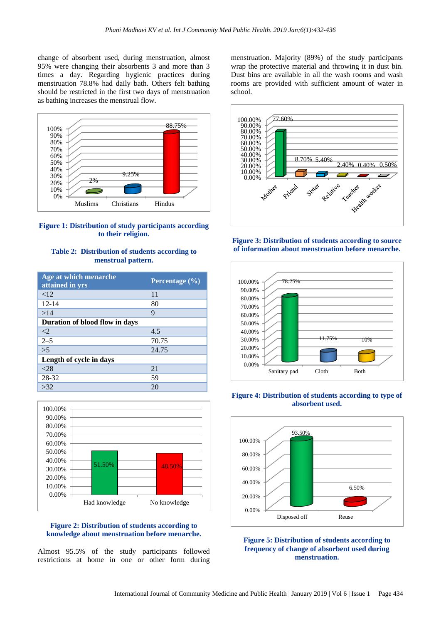change of absorbent used, during menstruation, almost 95% were changing their absorbents 3 and more than 3 times a day. Regarding hygienic practices during menstruation 78.8% had daily bath. Others felt bathing should be restricted in the first two days of menstruation as bathing increases the menstrual flow.



**Figure 1: Distribution of study participants according to their religion.**

#### **Table 2: Distribution of students according to menstrual pattern.**

| Age at which menarche<br>attained in yrs | Percentage $(\% )$ |
|------------------------------------------|--------------------|
| <12                                      | 11                 |
| $12 - 14$                                | 80                 |
| >14                                      | 9                  |
| Duration of blood flow in days           |                    |
| $\langle 2$                              | 4.5                |
| $2 - 5$                                  | 70.75              |
| $\overline{\smash{>}}5$                  | 24.75              |
| Length of cycle in days                  |                    |
| <28                                      | 21                 |
| 28-32                                    | 59                 |
| >32                                      | 20                 |



#### **Figure 2: Distribution of students according to knowledge about menstruation before menarche.**

Almost 95.5% of the study participants followed restrictions at home in one or other form during menstruation. Majority (89%) of the study participants wrap the protective material and throwing it in dust bin. Dust bins are available in all the wash rooms and wash rooms are provided with sufficient amount of water in school.











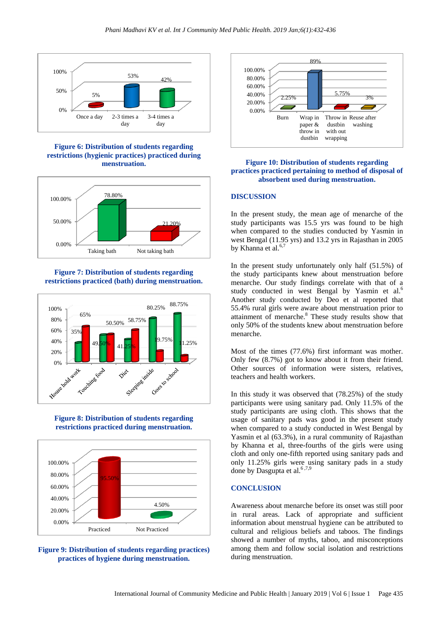

**Figure 6: Distribution of students regarding restrictions (hygienic practices) practiced during menstruation.**



## **Figure 7: Distribution of students regarding restrictions practiced (bath) during menstruation.**



## **Figure 8: Distribution of students regarding restrictions practiced during menstruation.**



## **Figure 9: Distribution of students regarding practices) practices of hygiene during menstruation.**



#### **Figure 10: Distribution of students regarding practices practiced pertaining to method of disposal of absorbent used during menstruation.**

## **DISCUSSION**

In the present study, the mean age of menarche of the study participants was 15.5 yrs was found to be high when compared to the studies conducted by Yasmin in west Bengal (11.95 yrs) and 13.2 yrs in Rajasthan in 2005 by Khanna et al.<sup>6,7</sup>

In the present study unfortunately only half (51.5%) of the study participants knew about menstruation before menarche. Our study findings correlate with that of a study conducted in west Bengal by Yasmin et al.<sup>6</sup> Another study conducted by Deo et al reported that 55.4% rural girls were aware about menstruation prior to attainment of menarche.<sup>8</sup> These study results show that only 50% of the students knew about menstruation before menarche.

Most of the times (77.6%) first informant was mother. Only few (8.7%) got to know about it from their friend. Other sources of information were sisters, relatives, teachers and health workers.

In this study it was observed that (78.25%) of the study participants were using sanitary pad. Only 11.5% of the study participants are using cloth. This shows that the usage of sanitary pads was good in the present study when compared to a study conducted in West Bengal by Yasmin et al (63.3%), in a rural community of Rajasthan by Khanna et al, three-fourths of the girls were using cloth and only one-fifth reported using sanitary pads and only 11.25% girls were using sanitary pads in a study done by Dasgupta et al.<sup>6,7,9</sup>

#### **CONCLUSION**

Awareness about menarche before its onset was still poor in rural areas. Lack of appropriate and sufficient information about menstrual hygiene can be attributed to cultural and religious beliefs and taboos. The findings showed a number of myths, taboo, and misconceptions among them and follow social isolation and restrictions during menstruation.